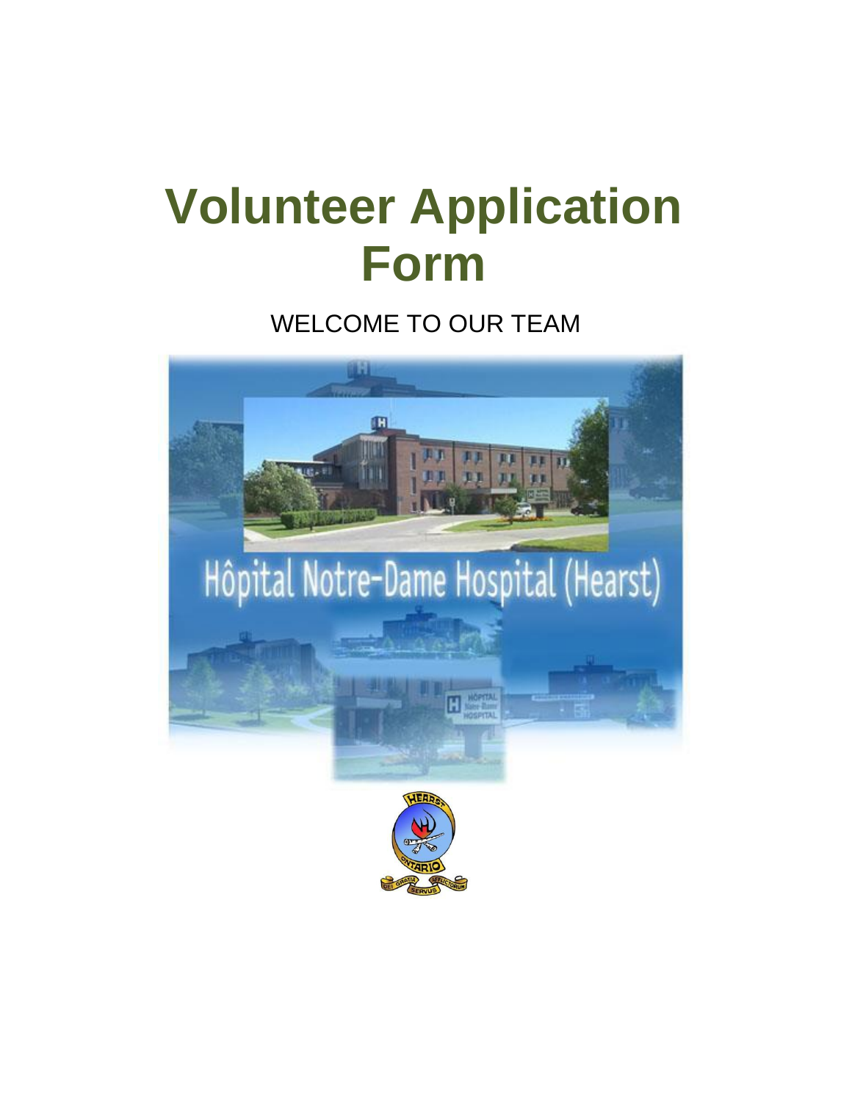# **Volunteer Application Form**

WELCOME TO OUR TEAM

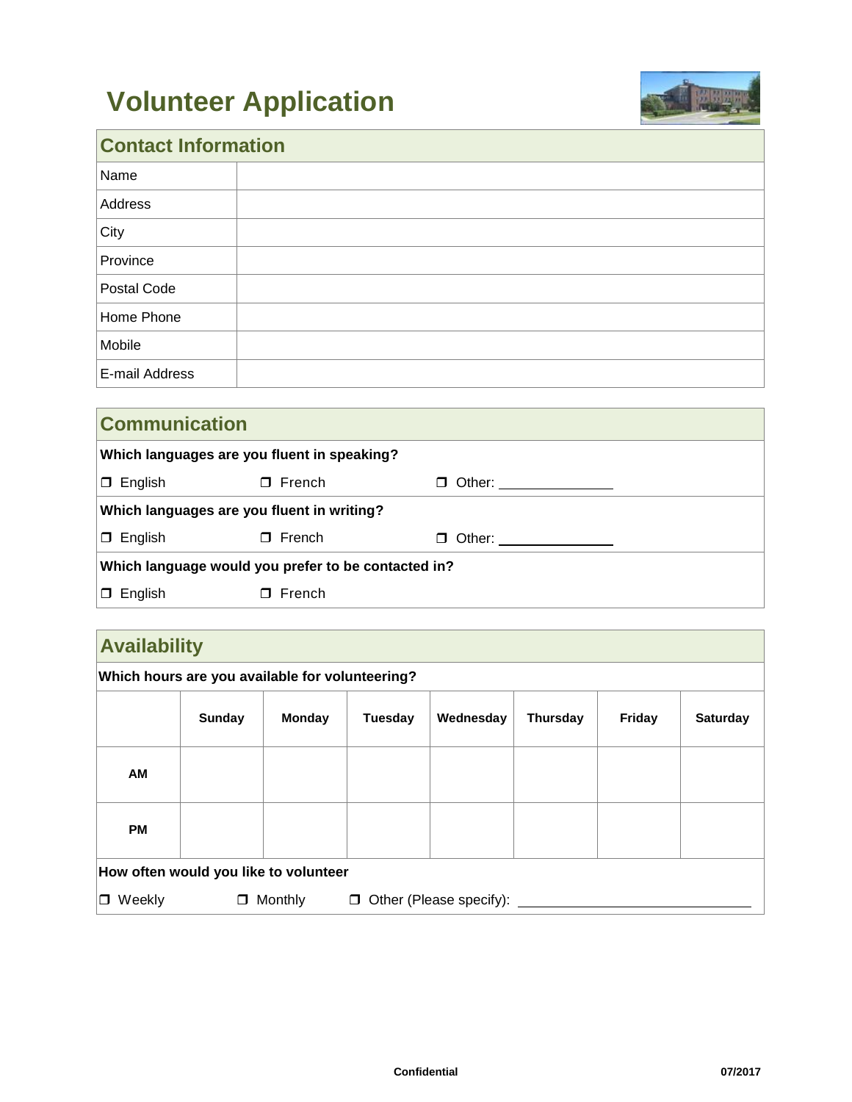# **Volunteer Application**



## **Contact Information**

| Name           |  |
|----------------|--|
| Address        |  |
| City           |  |
| Province       |  |
| Postal Code    |  |
| Home Phone     |  |
| Mobile         |  |
| E-mail Address |  |

| <b>Communication</b>                                |               |                         |
|-----------------------------------------------------|---------------|-------------------------|
| Which languages are you fluent in speaking?         |               |                         |
| $\Box$ English                                      | $\Box$ French | D Other: ______________ |
| Which languages are you fluent in writing?          |               |                         |
| $\Box$ English                                      | $\Box$ French | Other:<br>Π.            |
| Which language would you prefer to be contacted in? |               |                         |
| $\Box$ English                                      | $\Box$ French |                         |

### **Availability**

| Which hours are you available for volunteering? |        |         |                |                         |          |        |                 |
|-------------------------------------------------|--------|---------|----------------|-------------------------|----------|--------|-----------------|
|                                                 | Sunday | Monday  | <b>Tuesday</b> | Wednesday               | Thursday | Friday | <b>Saturday</b> |
| AM                                              |        |         |                |                         |          |        |                 |
| <b>PM</b>                                       |        |         |                |                         |          |        |                 |
| How often would you like to volunteer           |        |         |                |                         |          |        |                 |
| $\Box$ Weekly                                   | $\Box$ | Monthly | $\Box$         | Other (Please specify): |          |        |                 |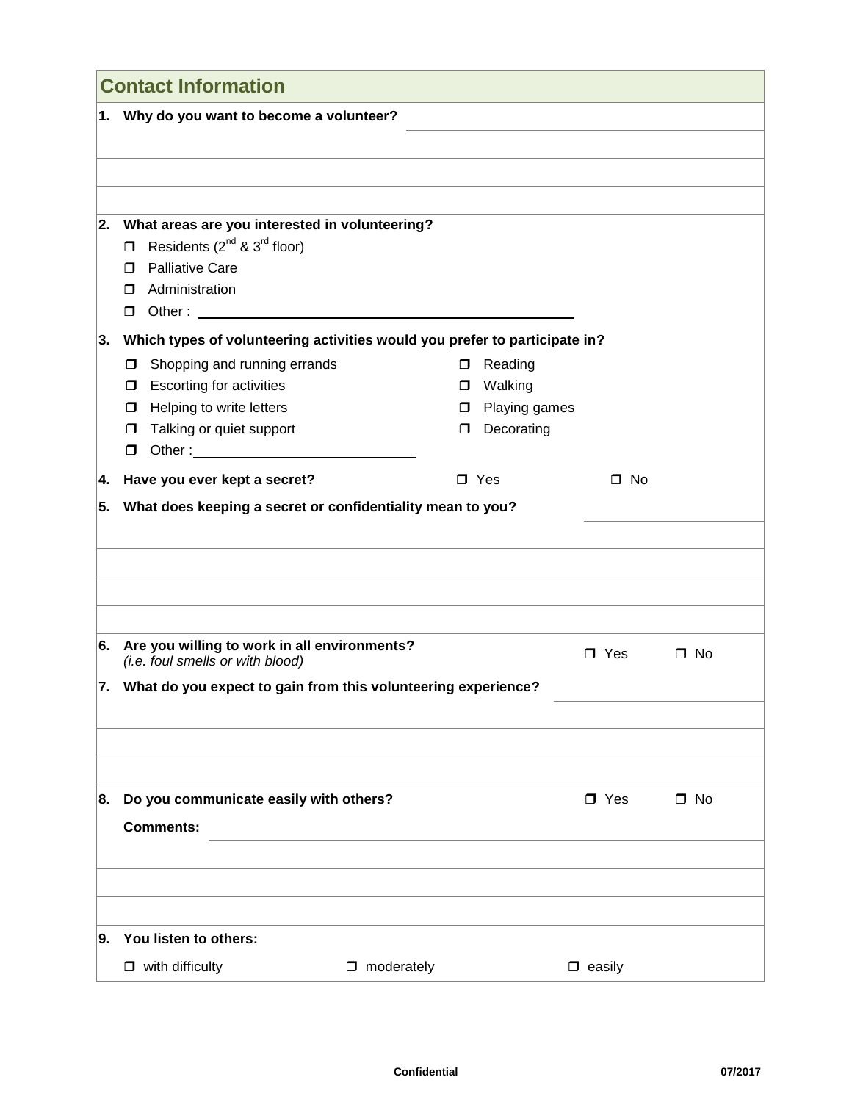|    | <b>Contact Information</b>                                                                                                                                                      |                                                                            |               |              |
|----|---------------------------------------------------------------------------------------------------------------------------------------------------------------------------------|----------------------------------------------------------------------------|---------------|--------------|
|    | 1. Why do you want to become a volunteer?                                                                                                                                       |                                                                            |               |              |
|    |                                                                                                                                                                                 |                                                                            |               |              |
|    |                                                                                                                                                                                 |                                                                            |               |              |
|    |                                                                                                                                                                                 |                                                                            |               |              |
| 2. | What areas are you interested in volunteering?<br>Residents (2 <sup>nd</sup> & 3 <sup>rd</sup> floor)<br>$\Box$<br><b>Palliative Care</b><br>$\Box$<br>Administration<br>$\Box$ |                                                                            |               |              |
| 3. |                                                                                                                                                                                 | Which types of volunteering activities would you prefer to participate in? |               |              |
|    | Shopping and running errands<br>0<br><b>Escorting for activities</b><br>□<br>Helping to write letters<br>$\Box$<br>Talking or quiet support<br>□<br>$\Box$                      | □ Reading<br>□ Walking<br>Playing games<br>$\Box$<br>Decorating<br>$\Box$  |               |              |
| 4. | Have you ever kept a secret?                                                                                                                                                    | $\square$ Yes                                                              | $\square$ No  |              |
|    |                                                                                                                                                                                 |                                                                            |               |              |
|    | 6. Are you willing to work in all environments?<br>(i.e. foul smells or with blood)                                                                                             |                                                                            | $\Box$ Yes    | $\square$ No |
|    |                                                                                                                                                                                 | 7. What do you expect to gain from this volunteering experience?           |               |              |
|    |                                                                                                                                                                                 |                                                                            |               |              |
|    |                                                                                                                                                                                 |                                                                            |               |              |
| 8. | Do you communicate easily with others?<br><b>Comments:</b>                                                                                                                      |                                                                            | $\Box$ Yes    | $\Box$ No    |
|    |                                                                                                                                                                                 |                                                                            |               |              |
|    |                                                                                                                                                                                 |                                                                            |               |              |
|    |                                                                                                                                                                                 |                                                                            |               |              |
| 9. | You listen to others:                                                                                                                                                           |                                                                            |               |              |
|    | $\Box$ with difficulty                                                                                                                                                          | $\Box$ moderately                                                          | $\Box$ easily |              |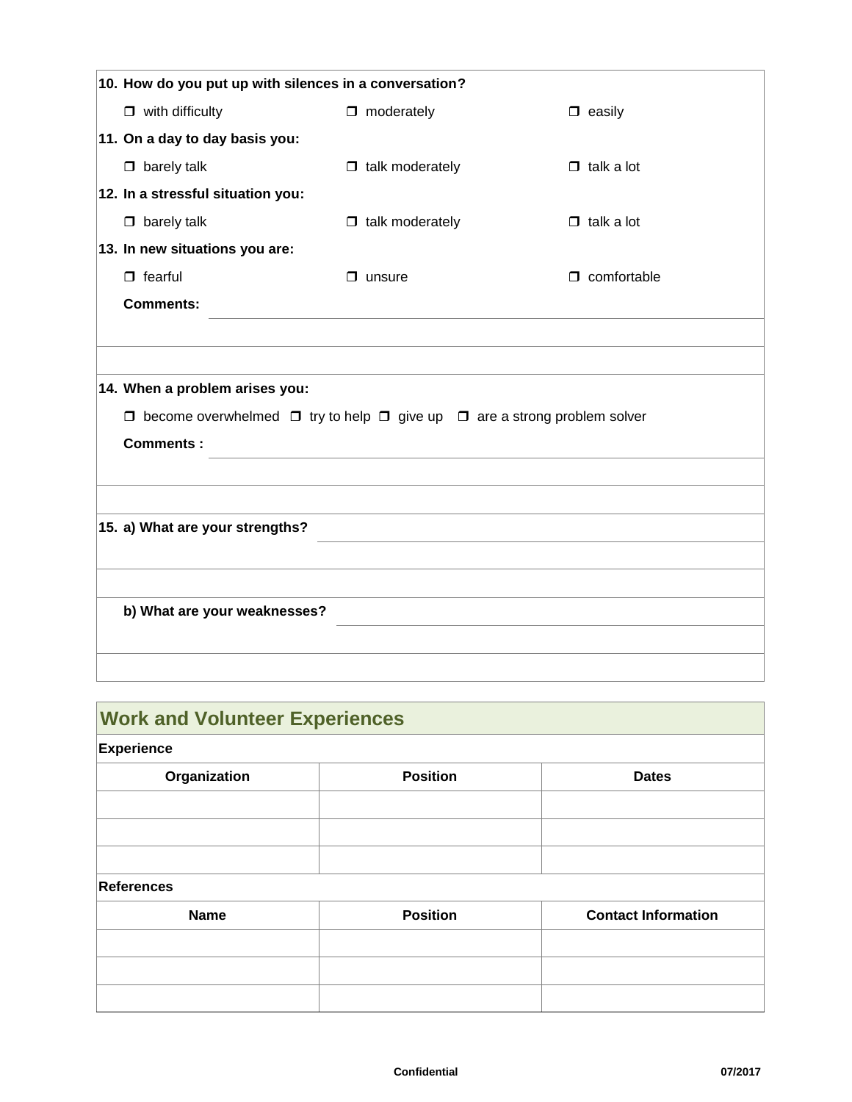| $\Box$ moderately      | $\Box$ easily                                                                                                                                               |                                                                                                |
|------------------------|-------------------------------------------------------------------------------------------------------------------------------------------------------------|------------------------------------------------------------------------------------------------|
|                        |                                                                                                                                                             |                                                                                                |
| $\Box$ talk moderately | $\Box$ talk a lot                                                                                                                                           |                                                                                                |
|                        |                                                                                                                                                             |                                                                                                |
| $\Box$ talk moderately | $\Box$ talk a lot                                                                                                                                           |                                                                                                |
|                        |                                                                                                                                                             |                                                                                                |
| $\Box$ unsure          | $\Box$ comfortable                                                                                                                                          |                                                                                                |
|                        |                                                                                                                                                             |                                                                                                |
|                        |                                                                                                                                                             |                                                                                                |
|                        |                                                                                                                                                             |                                                                                                |
|                        |                                                                                                                                                             |                                                                                                |
|                        |                                                                                                                                                             |                                                                                                |
|                        |                                                                                                                                                             |                                                                                                |
|                        |                                                                                                                                                             |                                                                                                |
|                        |                                                                                                                                                             |                                                                                                |
|                        |                                                                                                                                                             |                                                                                                |
|                        |                                                                                                                                                             |                                                                                                |
|                        |                                                                                                                                                             |                                                                                                |
|                        |                                                                                                                                                             |                                                                                                |
|                        |                                                                                                                                                             |                                                                                                |
|                        |                                                                                                                                                             |                                                                                                |
|                        | 10. How do you put up with silences in a conversation?<br>14. When a problem arises you:<br>15. a) What are your strengths?<br>b) What are your weaknesses? | $\Box$ become overwhelmed $\Box$ try to help $\Box$ give up $\Box$ are a strong problem solver |

## **Work and Volunteer Experiences**

#### **Experience**

| Organization | <b>Position</b> | <b>Dates</b> |
|--------------|-----------------|--------------|
|              |                 |              |
|              |                 |              |
|              |                 |              |

#### **References**

| <b>Name</b> | <b>Position</b> | <b>Contact Information</b> |
|-------------|-----------------|----------------------------|
|             |                 |                            |
|             |                 |                            |
|             |                 |                            |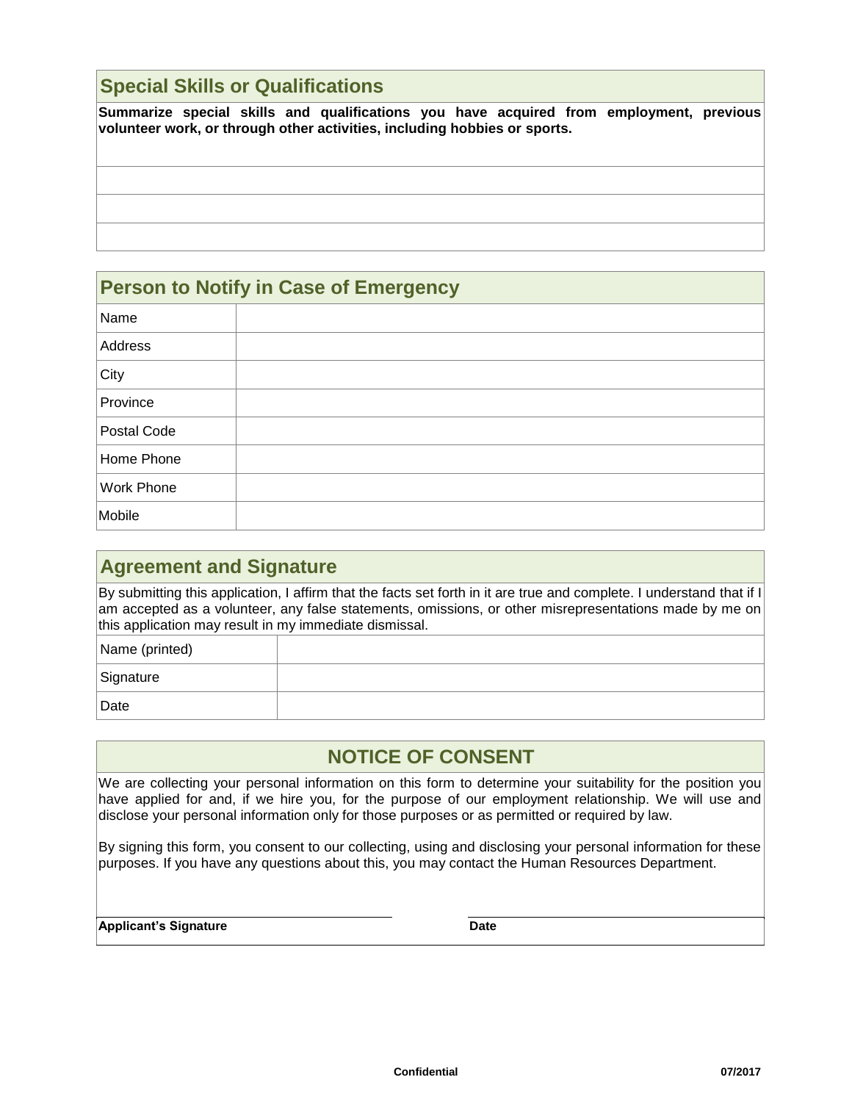#### **Special Skills or Qualifications**

**Summarize special skills and qualifications you have acquired from employment, previous volunteer work, or through other activities, including hobbies or sports.**

| <b>Person to Notify in Case of Emergency</b> |  |  |
|----------------------------------------------|--|--|
| Name                                         |  |  |
| Address                                      |  |  |
| City                                         |  |  |
| Province                                     |  |  |
| Postal Code                                  |  |  |
| Home Phone                                   |  |  |
| Work Phone                                   |  |  |
| Mobile                                       |  |  |

| <b>Agreement and Signature</b>                                                                                                                                                                                                                                                            |  |  |
|-------------------------------------------------------------------------------------------------------------------------------------------------------------------------------------------------------------------------------------------------------------------------------------------|--|--|
| By submitting this application, I affirm that the facts set forth in it are true and complete. I understand that if I<br>am accepted as a volunteer, any false statements, omissions, or other misrepresentations made by me on<br>this application may result in my immediate dismissal. |  |  |
| Name (printed)                                                                                                                                                                                                                                                                            |  |  |
| Signature                                                                                                                                                                                                                                                                                 |  |  |
| Date                                                                                                                                                                                                                                                                                      |  |  |

#### **NOTICE OF CONSENT**

We are collecting your personal information on this form to determine your suitability for the position you have applied for and, if we hire you, for the purpose of our employment relationship. We will use and disclose your personal information only for those purposes or as permitted or required by law.

By signing this form, you consent to our collecting, using and disclosing your personal information for these purposes. If you have any questions about this, you may contact the Human Resources Department.

**Applicant's Signature Date**